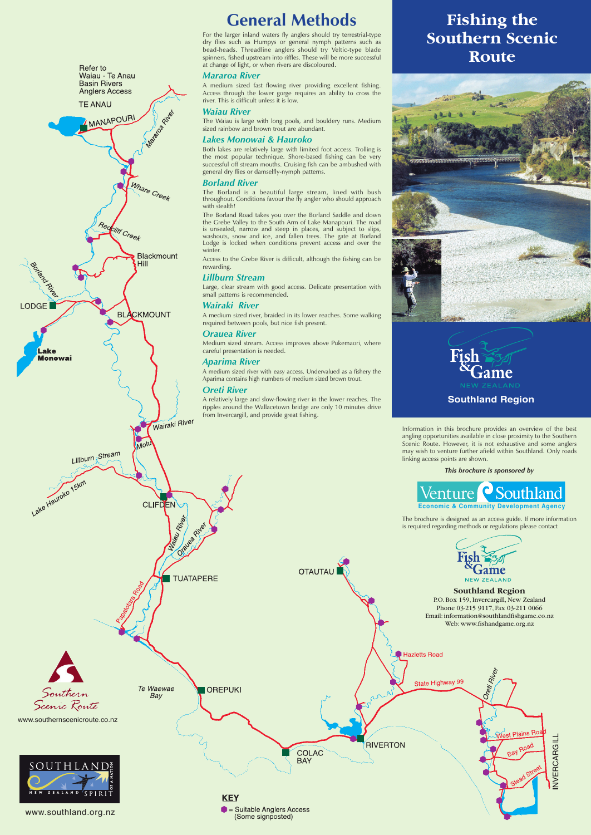Information in this brochure provides an overview of the best angling opportunities available in close proximity to the Southern Scenic Route. However, it is not exhaustive and some anglers may wish to venture further afield within Southland. Only roads linking access points are shown.

### *This brochure is sponsored by*

The brochure is designed as an access guide. If more information is required regarding methods or regulations please contact



# **Southland Region** P.O. Box 159, Invercargill, New Zealand Phone 03-215 9117, Fax 03-211 0066 Email: information@southlandfishgame.co.nz

# **Fishing the Southern Scenic Route**





# **General Methods**

For the larger inland waters fly anglers should try terrestrial-type dry flies such as Humpys or general nymph patterns such as bead-heads. Threadline anglers should try Veltic-type blade spinners, fished upstream into riffles. These will be more successful at change of light, or when rivers are discoloured.

## *Mararoa River*

A medium sized fast flowing river providing excellent fishing. Access through the lower gorge requires an ability to cross the river. This is difficult unless it is low.

# *Waiau River*

The Waiau is large with long pools, and bouldery runs. Medium sized rainbow and brown trout are abundant.

# *Lakes Monowai & Hauroko*

Both lakes are relatively large with limited foot access. Trolling is the most popular technique. Shore-based fishing can be very successful off stream mouths. Cruising fish can be ambushed with general dry flies or damselfly-nymph patterns.

## *Borland River*

The Borland is a beautiful large stream, lined with bush throughout. Conditions favour the fly angler who should approach with stealth!



The Borland Road takes you over the Borland Saddle and down the Grebe Valley to the South Arm of Lake Manapouri. The road is unsealed, narrow and steep in places, and subject to slips, washouts, snow and ice, and fallen trees. The gate at Borland Lodge is locked when conditions prevent access and over the winter.

Access to the Grebe River is difficult, although the fishing can be rewarding.

# *Lillburn Stream*

Large, clear stream with good access. Delicate presentation with small patterns is recommended.

# *Wairaki River*

A medium sized river, braided in its lower reaches. Some walking required between pools, but nice fish present.

# *Orauea River*

Medium sized stream. Access improves above Pukemaori, where careful presentation is needed.

# *Aparima River*

A medium sized river with easy access. Undervalued as a fishery the Aparima contains high numbers of medium sized brown trout.

## *Oreti River*

A relatively large and slow-flowing river in the lower reaches. The ripples around the Wallacetown bridge are only 10 minutes drive from Invercargill, and provide great fishing.

**OTAUTAU**